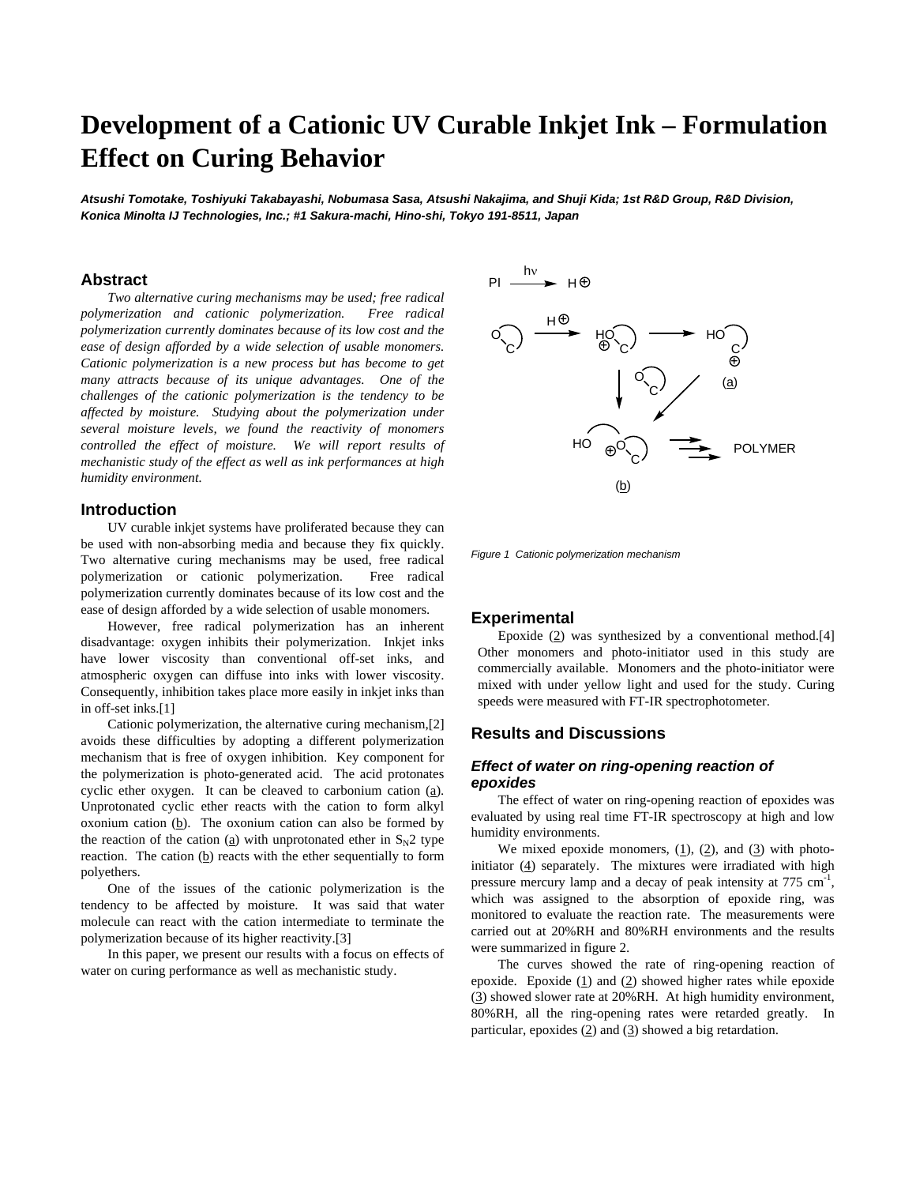# **Development of a Cationic UV Curable Inkjet Ink – Formulation Effect on Curing Behavior**

*Atsushi Tomotake, Toshiyuki Takabayashi, Nobumasa Sasa, Atsushi Nakajima, and Shuji Kida; 1st R&D Group, R&D Division, Konica Minolta IJ Technologies, Inc.; #1 Sakura-machi, Hino-shi, Tokyo 191-8511, Japan* 

#### **Abstract**

*Two alternative curing mechanisms may be used; free radical polymerization and cationic polymerization. Free radical polymerization currently dominates because of its low cost and the ease of design afforded by a wide selection of usable monomers. Cationic polymerization is a new process but has become to get many attracts because of its unique advantages. One of the challenges of the cationic polymerization is the tendency to be affected by moisture. Studying about the polymerization under several moisture levels, we found the reactivity of monomers controlled the effect of moisture. We will report results of mechanistic study of the effect as well as ink performances at high humidity environment.* 

#### **Introduction**

UV curable inkjet systems have proliferated because they can be used with non-absorbing media and because they fix quickly. Two alternative curing mechanisms may be used, free radical polymerization or cationic polymerization. Free radical polymerization currently dominates because of its low cost and the ease of design afforded by a wide selection of usable monomers.

However, free radical polymerization has an inherent disadvantage: oxygen inhibits their polymerization. Inkjet inks have lower viscosity than conventional off-set inks, and atmospheric oxygen can diffuse into inks with lower viscosity. Consequently, inhibition takes place more easily in inkjet inks than in off-set inks.[1]

Cationic polymerization, the alternative curing mechanism,[2] avoids these difficulties by adopting a different polymerization mechanism that is free of oxygen inhibition. Key component for the polymerization is photo-generated acid. The acid protonates cyclic ether oxygen. It can be cleaved to carbonium cation (a). Unprotonated cyclic ether reacts with the cation to form alkyl oxonium cation  $(b)$ . The oxonium cation can also be formed by the reaction of the cation ( $\underline{a}$ ) with unprotonated ether in S<sub>N</sub>2 type reaction. The cation  $(b)$  reacts with the ether sequentially to form polyethers.

One of the issues of the cationic polymerization is the tendency to be affected by moisture. It was said that water molecule can react with the cation intermediate to terminate the polymerization because of its higher reactivity.[3]

In this paper, we present our results with a focus on effects of water on curing performance as well as mechanistic study.



*Figure 1 Cationic polymerization mechanism* 

#### **Experimental**

Epoxide  $(2)$  was synthesized by a conventional method.[4] Other monomers and photo-initiator used in this study are commercially available. Monomers and the photo-initiator were mixed with under yellow light and used for the study. Curing speeds were measured with FT-IR spectrophotometer.

#### **Results and Discussions**

#### *Effect of water on ring-opening reaction of epoxides*

The effect of water on ring-opening reaction of epoxides was evaluated by using real time FT-IR spectroscopy at high and low humidity environments.

We mixed epoxide monomers,  $(1)$ ,  $(2)$ , and  $(3)$  with photoinitiator  $(4)$  separately. The mixtures were irradiated with high pressure mercury lamp and a decay of peak intensity at 775 cm<sup>-1</sup>, which was assigned to the absorption of epoxide ring, was monitored to evaluate the reaction rate. The measurements were carried out at 20%RH and 80%RH environments and the results were summarized in figure 2.

The curves showed the rate of ring-opening reaction of epoxide. Epoxide  $(1)$  and  $(2)$  showed higher rates while epoxide (3) showed slower rate at 20%RH. At high humidity environment, 80%RH, all the ring-opening rates were retarded greatly. In particular, epoxides  $(2)$  and  $(3)$  showed a big retardation.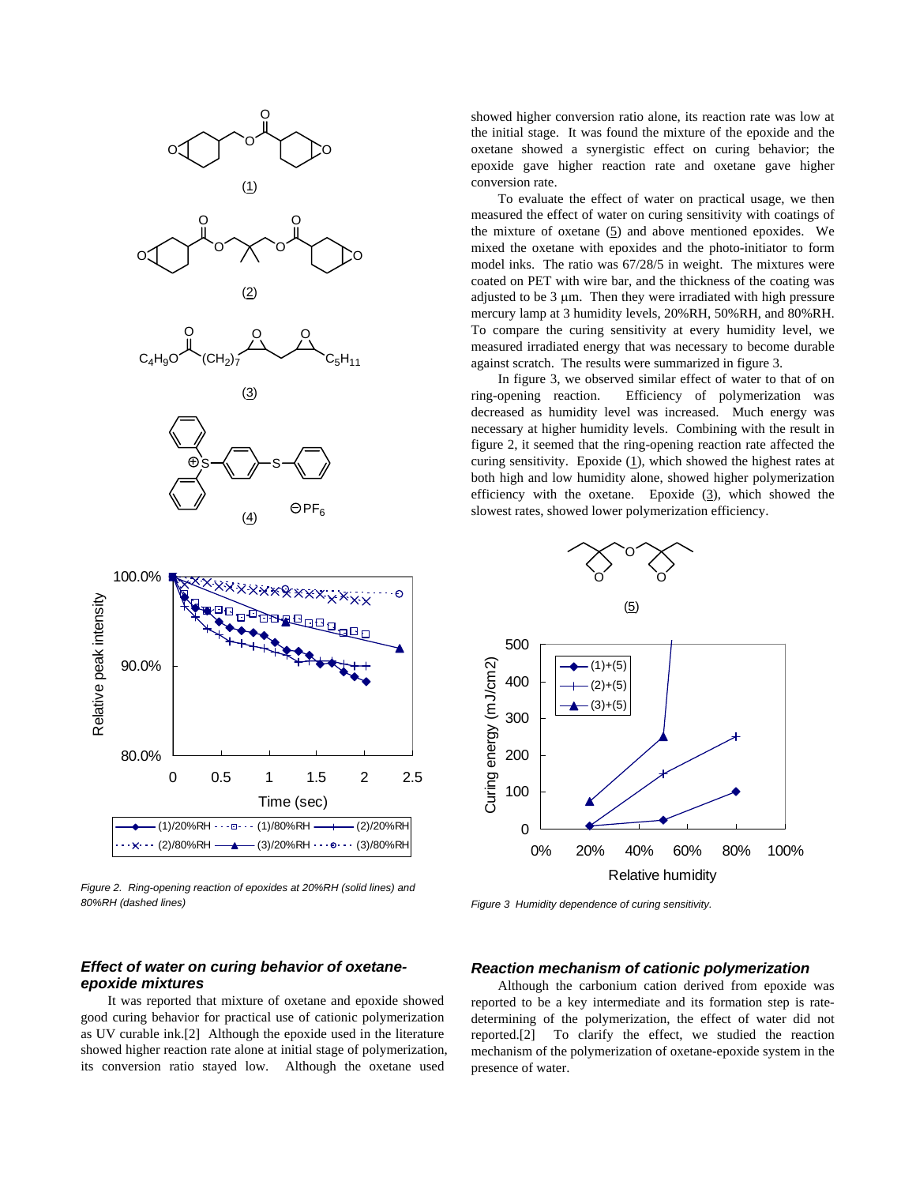

*Figure 2. Ring-opening reaction of epoxides at 20%RH (solid lines) and 80%RH (dashed lines)* 

#### showed higher conversion ratio alone, its reaction rate was low at the initial stage. It was found the mixture of the epoxide and the oxetane showed a synergistic effect on curing behavior; the epoxide gave higher reaction rate and oxetane gave higher conversion rate.

To evaluate the effect of water on practical usage, we then measured the effect of water on curing sensitivity with coatings of the mixture of oxetane  $(5)$  and above mentioned epoxides. We mixed the oxetane with epoxides and the photo-initiator to form model inks. The ratio was 67/28/5 in weight. The mixtures were coated on PET with wire bar, and the thickness of the coating was adjusted to be 3 μm. Then they were irradiated with high pressure mercury lamp at 3 humidity levels, 20%RH, 50%RH, and 80%RH. To compare the curing sensitivity at every humidity level, we measured irradiated energy that was necessary to become durable against scratch. The results were summarized in figure 3.

In figure 3, we observed similar effect of water to that of on ring-opening reaction. Efficiency of polymerization was decreased as humidity level was increased. Much energy was necessary at higher humidity levels. Combining with the result in figure 2, it seemed that the ring-opening reaction rate affected the curing sensitivity. Epoxide  $(1)$ , which showed the highest rates at both high and low humidity alone, showed higher polymerization efficiency with the oxetane. Epoxide  $(3)$ , which showed the slowest rates, showed lower polymerization efficiency.



*Figure 3 Humidity dependence of curing sensitivity.* 

### *Effect of water on curing behavior of oxetaneepoxide mixtures*

It was reported that mixture of oxetane and epoxide showed good curing behavior for practical use of cationic polymerization as UV curable ink.[2] Although the epoxide used in the literature showed higher reaction rate alone at initial stage of polymerization, its conversion ratio stayed low. Although the oxetane used

#### *Reaction mechanism of cationic polymerization*

Although the carbonium cation derived from epoxide was reported to be a key intermediate and its formation step is ratedetermining of the polymerization, the effect of water did not reported.[2] To clarify the effect, we studied the reaction mechanism of the polymerization of oxetane-epoxide system in the presence of water.